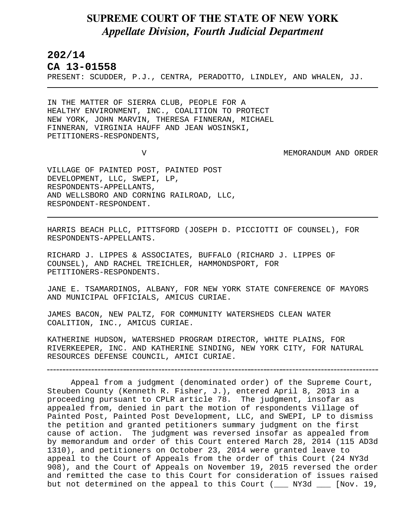## **SUPREME COURT OF THE STATE OF NEW YORK** *Appellate Division, Fourth Judicial Department*

## **202/14**

L

**CA 13-01558** 

PRESENT: SCUDDER, P.J., CENTRA, PERADOTTO, LINDLEY, AND WHALEN, JJ.

IN THE MATTER OF SIERRA CLUB, PEOPLE FOR A HEALTHY ENVIRONMENT, INC., COALITION TO PROTECT NEW YORK, JOHN MARVIN, THERESA FINNERAN, MICHAEL FINNERAN, VIRGINIA HAUFF AND JEAN WOSINSKI, PETITIONERS-RESPONDENTS,

V MEMORANDUM AND ORDER

VILLAGE OF PAINTED POST, PAINTED POST DEVELOPMENT, LLC, SWEPI, LP, RESPONDENTS-APPELLANTS, AND WELLSBORO AND CORNING RAILROAD, LLC, RESPONDENT-RESPONDENT.

HARRIS BEACH PLLC, PITTSFORD (JOSEPH D. PICCIOTTI OF COUNSEL), FOR RESPONDENTS-APPELLANTS.

RICHARD J. LIPPES & ASSOCIATES, BUFFALO (RICHARD J. LIPPES OF COUNSEL), AND RACHEL TREICHLER, HAMMONDSPORT, FOR PETITIONERS-RESPONDENTS.

JANE E. TSAMARDINOS, ALBANY, FOR NEW YORK STATE CONFERENCE OF MAYORS AND MUNICIPAL OFFICIALS, AMICUS CURIAE.

JAMES BACON, NEW PALTZ, FOR COMMUNITY WATERSHEDS CLEAN WATER COALITION, INC., AMICUS CURIAE.

KATHERINE HUDSON, WATERSHED PROGRAM DIRECTOR, WHITE PLAINS, FOR RIVERKEEPER, INC. AND KATHERINE SINDING, NEW YORK CITY, FOR NATURAL RESOURCES DEFENSE COUNCIL, AMICI CURIAE.

Appeal from a judgment (denominated order) of the Supreme Court, Steuben County (Kenneth R. Fisher, J.), entered April 8, 2013 in a proceeding pursuant to CPLR article 78. The judgment, insofar as appealed from, denied in part the motion of respondents Village of Painted Post, Painted Post Development, LLC, and SWEPI, LP to dismiss the petition and granted petitioners summary judgment on the first cause of action. The judgment was reversed insofar as appealed from by memorandum and order of this Court entered March 28, 2014 (115 AD3d 1310), and petitioners on October 23, 2014 were granted leave to appeal to the Court of Appeals from the order of this Court (24 NY3d 908), and the Court of Appeals on November 19, 2015 reversed the order and remitted the case to this Court for consideration of issues raised but not determined on the appeal to this Court (\_\_\_ NY3d \_\_\_ [Nov. 19,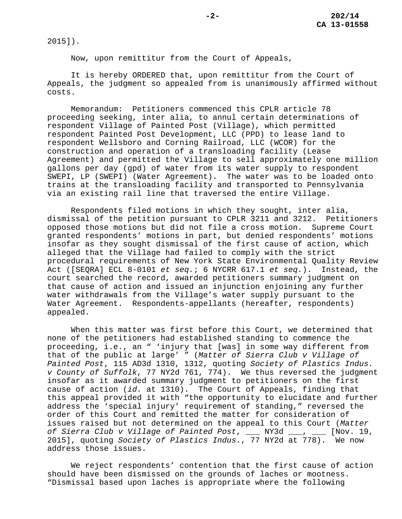2015]).

Now, upon remittitur from the Court of Appeals,

It is hereby ORDERED that, upon remittitur from the Court of Appeals, the judgment so appealed from is unanimously affirmed without costs.

Memorandum: Petitioners commenced this CPLR article 78 proceeding seeking, inter alia, to annul certain determinations of respondent Village of Painted Post (Village), which permitted respondent Painted Post Development, LLC (PPD) to lease land to respondent Wellsboro and Corning Railroad, LLC (WCOR) for the construction and operation of a transloading facility (Lease Agreement) and permitted the Village to sell approximately one million gallons per day (gpd) of water from its water supply to respondent SWEPI, LP (SWEPI) (Water Agreement). The water was to be loaded onto trains at the transloading facility and transported to Pennsylvania via an existing rail line that traversed the entire Village.

Respondents filed motions in which they sought, inter alia, dismissal of the petition pursuant to CPLR 3211 and 3212. Petitioners opposed those motions but did not file a cross motion. Supreme Court granted respondents' motions in part, but denied respondents' motions insofar as they sought dismissal of the first cause of action, which alleged that the Village had failed to comply with the strict procedural requirements of New York State Environmental Quality Review Act ([SEQRA] ECL 8-0101 *et seq.*; 6 NYCRR 617.1 *et seq.*). Instead, the court searched the record, awarded petitioners summary judgment on that cause of action and issued an injunction enjoining any further water withdrawals from the Village's water supply pursuant to the Water Agreement.Respondents-appellants (hereafter, respondents) appealed.

When this matter was first before this Court, we determined that none of the petitioners had established standing to commence the proceeding, i.e., an " 'injury that [was] in some way different from that of the public at large' " (*Matter of Sierra Club v Village of Painted Post*, 115 AD3d 1310, 1312, quoting *Society of Plastics Indus. v County of Suffolk*, 77 NY2d 761, 774). We thus reversed the judgment insofar as it awarded summary judgment to petitioners on the first cause of action (*id.* at 1310). The Court of Appeals, finding that this appeal provided it with "the opportunity to elucidate and further address the 'special injury' requirement of standing," reversed the order of this Court and remitted the matter for consideration of issues raised but not determined on the appeal to this Court (*Matter of Sierra Club v Village of Painted Post*, \_\_\_ NY3d \_\_\_, \_\_\_ [Nov. 19, 2015], quoting *Society of Plastics Indus.*, 77 NY2d at 778). We now address those issues.

We reject respondents' contention that the first cause of action should have been dismissed on the grounds of laches or mootness. "Dismissal based upon laches is appropriate where the following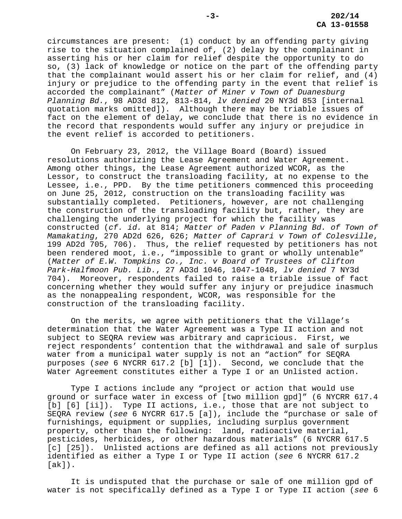circumstances are present: (1) conduct by an offending party giving rise to the situation complained of, (2) delay by the complainant in asserting his or her claim for relief despite the opportunity to do so, (3) lack of knowledge or notice on the part of the offending party that the complainant would assert his or her claim for relief, and (4) injury or prejudice to the offending party in the event that relief is accorded the complainant" (*Matter of Miner v Town of Duanesburg Planning Bd.*, 98 AD3d 812, 813-814, *lv denied* 20 NY3d 853 [internal quotation marks omitted]). Although there may be triable issues of fact on the element of delay, we conclude that there is no evidence in the record that respondents would suffer any injury or prejudice in the event relief is accorded to petitioners.

On February 23, 2012, the Village Board (Board) issued resolutions authorizing the Lease Agreement and Water Agreement. Among other things, the Lease Agreement authorized WCOR, as the Lessor, to construct the transloading facility, at no expense to the Lessee, i.e., PPD. By the time petitioners commenced this proceeding on June 25, 2012, construction on the transloading facility was substantially completed. Petitioners, however, are not challenging the construction of the transloading facility but, rather, they are challenging the underlying project for which the facility was constructed (*cf. id.* at 814; *Matter of Paden v Planning Bd. of Town of Mamakating*, 270 AD2d 626, 626; *Matter of Caprari v Town of Colesville*, 199 AD2d 705, 706). Thus, the relief requested by petitioners has not been rendered moot, i.e., "impossible to grant or wholly untenable" (*Matter of E.W. Tompkins Co., Inc. v Board of Trustees of Clifton Park-Halfmoon Pub. Lib.*, 27 AD3d 1046, 1047-1048, *lv denied* 7 NY3d 704). Moreover, respondents failed to raise a triable issue of fact concerning whether they would suffer any injury or prejudice inasmuch as the nonappealing respondent, WCOR, was responsible for the construction of the transloading facility.

On the merits, we agree with petitioners that the Village's determination that the Water Agreement was a Type II action and not subject to SEQRA review was arbitrary and capricious. First, we reject respondents' contention that the withdrawal and sale of surplus water from a municipal water supply is not an "action" for SEQRA purposes (*see* 6 NYCRR 617.2 [b] [1]). Second, we conclude that the Water Agreement constitutes either a Type I or an Unlisted action.

Type I actions include any "project or action that would use ground or surface water in excess of [two million gpd]" (6 NYCRR 617.4 [b] [6] [ii]). Type II actions, i.e., those that are not subject to SEQRA review (*see* 6 NYCRR 617.5 [a]), include the "purchase or sale of furnishings, equipment or supplies, including surplus government property, other than the following: land, radioactive material, pesticides, herbicides, or other hazardous materials" (6 NYCRR 617.5 [c] [25]). Unlisted actions are defined as all actions not previously identified as either a Type I or Type II action (*see* 6 NYCRR 617.2 [ak]).

It is undisputed that the purchase or sale of one million gpd of water is not specifically defined as a Type I or Type II action (*see* 6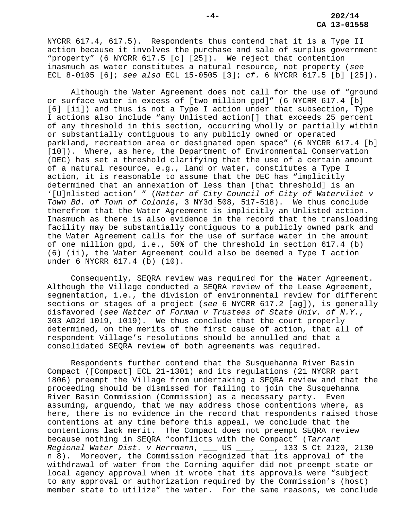NYCRR 617.4, 617.5). Respondents thus contend that it is a Type II action because it involves the purchase and sale of surplus government "property" (6 NYCRR 617.5 [c] [25]). We reject that contention inasmuch as water constitutes a natural resource, not property (*see* ECL 8-0105 [6]; *see also* ECL 15-0505 [3]; *cf.* 6 NYCRR 617.5 [b] [25]).

Although the Water Agreement does not call for the use of "ground or surface water in excess of [two million gpd]" (6 NYCRR 617.4 [b] [6] [ii]) and thus is not a Type I action under that subsection, Type I actions also include "any Unlisted action[] that exceeds 25 percent of any threshold in this section, occurring wholly or partially within or substantially contiguous to any publicly owned or operated parkland, recreation area or designated open space" (6 NYCRR 617.4 [b] [10]). Where, as here, the Department of Environmental Conservation (DEC) has set a threshold clarifying that the use of a certain amount of a natural resource, e.g., land or water, constitutes a Type I action, it is reasonable to assume that the DEC has "implicitly determined that an annexation of less than [that threshold] is an '[U]nlisted action' " (*Matter of City Council of City of Watervliet v Town Bd. of Town of Colonie*, 3 NY3d 508, 517-518). We thus conclude therefrom that the Water Agreement is implicitly an Unlisted action. Inasmuch as there is also evidence in the record that the transloading facility may be substantially contiguous to a publicly owned park and the Water Agreement calls for the use of surface water in the amount of one million gpd, i.e., 50% of the threshold in section 617.4 (b) (6) (ii), the Water Agreement could also be deemed a Type I action under 6 NYCRR 617.4 (b) (10).

Consequently, SEQRA review was required for the Water Agreement. Although the Village conducted a SEQRA review of the Lease Agreement, segmentation, i.e., the division of environmental review for different sections or stages of a project (*see* 6 NYCRR 617.2 [ag]), is generally disfavored (*see Matter of Forman v Trustees of State Univ. of N.Y.*, 303 AD2d 1019, 1019). We thus conclude that the court properly determined, on the merits of the first cause of action, that all of respondent Village's resolutions should be annulled and that a consolidated SEQRA review of both agreements was required.

Respondents further contend that the Susquehanna River Basin Compact ([Compact] ECL 21-1301) and its regulations (21 NYCRR part 1806) preempt the Village from undertaking a SEQRA review and that the proceeding should be dismissed for failing to join the Susquehanna River Basin Commission (Commission) as a necessary party. Even assuming, arguendo, that we may address those contentions where, as here, there is no evidence in the record that respondents raised those contentions at any time before this appeal, we conclude that the contentions lack merit. The Compact does not preempt SEQRA review because nothing in SEQRA "conflicts with the Compact" (*Tarrant Regional Water Dist. v Herrmann*, \_\_\_ US \_\_\_, \_\_\_, 133 S Ct 2120, 2130 n 8). Moreover, the Commission recognized that its approval of the withdrawal of water from the Corning aquifer did not preempt state or local agency approval when it wrote that its approvals were "subject to any approval or authorization required by the Commission's (host) member state to utilize" the water. For the same reasons, we conclude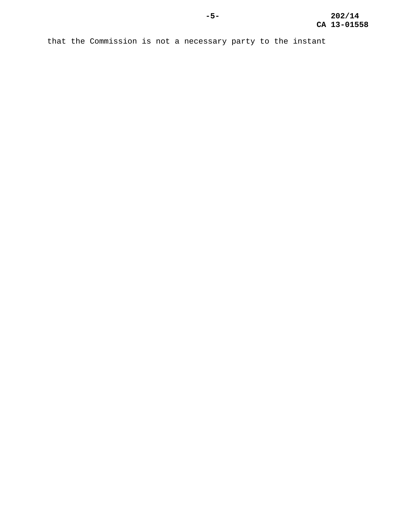that the Commission is not a necessary party to the instant